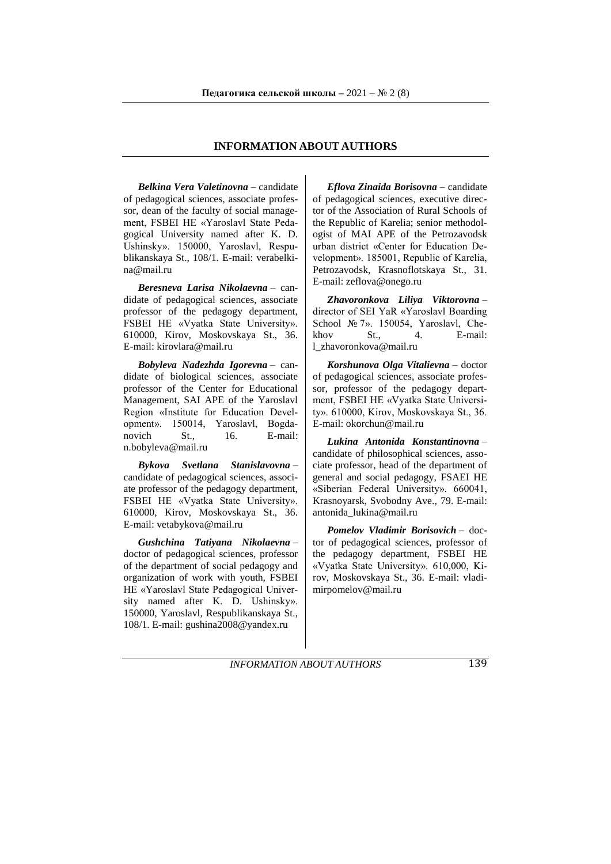## **INFORMATION ABOUT AUTHORS**

*Belkina Vera Valetinovna* – candidate of pedagogical sciences, associate professor, dean of the faculty of social management, FSBEI HE «Yaroslavl State Pedagogical University named after K. D. Ushinsky». 150000, Yaroslavl, Respublikanskaya St., 108/1. E-mail: [verabelki](mailto:verabelkina@mail.ru)[na@mail.ru](mailto:verabelkina@mail.ru)

*Beresneva Larisa Nikolaevna* – candidate of pedagogical sciences, associate professor of the pedagogy department, FSBEI HE «Vyatka State University». 610000, Kirov, Moskovskaya St., 36. E-mail: [kirovlara@mаil.ru](mailto:kirovlara@mаil.ru)

*Bobyleva Nadezhda Igorevna* – candidate of biological sciences, associate professor of the Center for Educational Management, SAI APE of the Yaroslavl Region «Institute for Education Development». 150014, Yaroslavl, Bogdanovich St., 16. E-mail: [n.bobyleva@mail.ru](mailto:n.bobyleva@mail.ru)

*Bykova Svetlana Stanislavovna* – candidate of pedagogical sciences, associate professor of the pedagogy department, FSBEI HE «Vyatka State University». 610000, Kirov, Moskovskaya St., 36. E-mail: [vetabykova@mail.ru](mailto:vetabykova@mail.ru)

*Gushchina Tatiyana Nikolaevna* – doctor of pedagogical sciences, professor of the department of social pedagogy and organization of work with youth, FSBEI HE «Yaroslavl State Pedagogical University named after K. D. Ushinsky». 150000, Yaroslavl, Respublikanskaya St., 108/1. E-mail: [gushina2008@yandex.ru](mailto:gushina2008@yandex.ru)

*Eflova Zinaida Borisovna* – candidate of pedagogical sciences, executive director of the Association of Rural Schools of the Republic of Karelia; senior methodologist of MAI APE of the Petrozavodsk urban district «Center for Education Development». 185001, Republic of Karelia, Petrozavodsk, Krasnoflotskaya St., 31. E-mail: [zeflova@onego.ru](mailto:zeflova@onego.ru)

*Zhavoronkova Liliya Viktorovna* – director of SEI YaR «Yaroslavl Boarding School № 7». 150054, Yaroslavl, Che-<br>khov St., 4. E-mail: khov St. 4 E-mail: [l\\_zhavoronkova@mail.ru](mailto:l_zhavoronkova@mail.ru)

*Korshunova Olga Vitalievna* – doctor of pedagogical sciences, associate professor, professor of the pedagogy department, FSBEI HE «Vyatka State University». 610000, Kirov, Moskovskaya St., 36. E-mail: [okorchun@mail.ru](mailto:okorchun@mail.ru)

*Lukina Antonida Konstantinovna* – candidate of philosophical sciences, associate professor, head of the department of general and social pedagogy, FSAEI HE «Siberian Federal University». 660041, Krasnoyarsk, Svobodny Ave., 79. E-mail: antonida\_lukina@mail.ru

*Pomelov Vladimir Borisovich* – doctor of pedagogical sciences, professor of the pedagogy department, FSBEI HE «Vyatka State University». 610,000, Kirov, Moskovskaya St., 36. E-mail: [vladi](https://e.mail.ru/compose/?mailto=mailto%3Avladimirpomelov@mail.ru#_blank)[mirpomelov@mail.ru](https://e.mail.ru/compose/?mailto=mailto%3Avladimirpomelov@mail.ru#_blank)

*INFORMATION ABOUT AUTHORS* 139